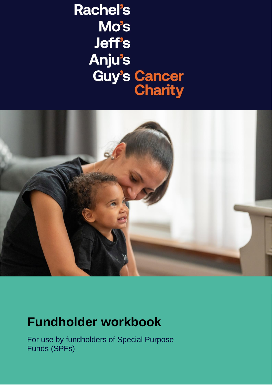# **Rachel's Mo's Jeff's Anju's Guy's Cancer**<br>**Charity**



## **Fundholder workbook**

For use by fundholders of Special Purpose Funds (SPFs)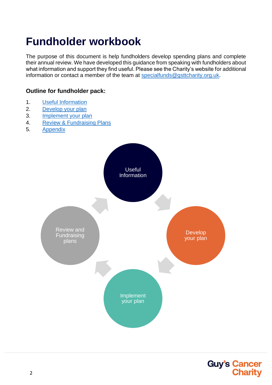## **Fundholder workbook**

The purpose of this document is help fundholders develop spending plans and complete their annual review. We have developed this guidance from speaking with fundholders about what information and support they find useful. Please see the Charity's website for additional information or contact a member of the team at [specialfunds@gsttcharity.org.uk.](mailto:specialfunds@gsttcharity.org.uk)

#### **Outline for fundholder pack:**

- 1. Useful Information
- 2. Develop your plan
- 3. [Implement](#page-13-0) your plan
- 4. Review & Fundraising Plans
- 5. [Appendix](#page-21-0)



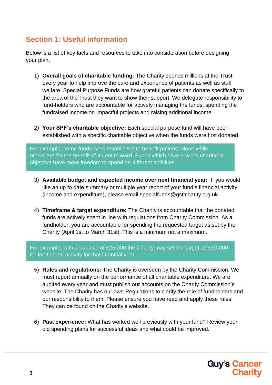### **Section 1: Useful information**

Below is a list of key facts and resources to take into consideration before designing your plan.

- 1) **Overall goals of charitable funding:** The Charity spends millions at the Trust every year to help improve the care and experience of patients as well as staff welfare. Special Purpose Funds are how grateful patients can donate specifically to the area of the Trust they want to show their support. We delegate responsibility to fund-holders who are accountable for actively managing the funds, spending the fundraised income on impactful projects and raising additional income.
- 2) **Your SPF's charitable objective:** Each special purpose fund will have been established with a specific charitable objective when the funds were first donated.

For example, some funds were established to benefit patients alone while others are for the benefit of an entire ward. Funds which have a wider charitable objective have more freedom to spend on different activities.

- 3) **Available budget and expected income over next financial year:** If you would like an up to date summary or multiple year report of your fund's financial activity (income and expenditure), please email specialfunds@gsttcharity.org.uk.
- 4) **Timeframe & target expenditure:** The Charity is accountable that the donated funds are actively spent in line with regulations from Charity Commission. As a fundholder, you are accountable for spending the requested target as set by the Charity (April 1st to March 31st). This is a minimum not a maximum.

For example, with a balance of £25,000 the Charity may set the target as £10,000 for the funded activity for that financial year.

- 5) **Rules and regulations:** The Charity is overseen by the Charity Commission. We must report annually on the performance of all charitable expenditure. We are audited every year and must publish our accounts on the Charity Commission's website. The Charity has our own Regulations to clarify the role of fundholders and our responsibility to them. Please ensure you have read and apply these rules. They can be found on the Charity's website.
- 6) **Past experience:** What has worked well previously with your fund? Review your old spending plans for successful ideas and what could be improved.

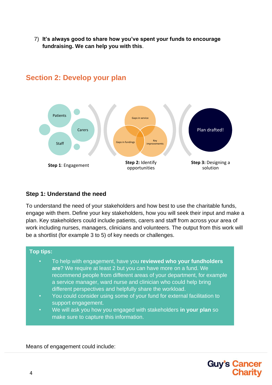7) **It's always good to share how you've spent your funds to encourage fundraising. We can help you with this**.



#### **Section 2: Develop your plan**

#### **Step 1: Understand the need**

To understand the need of your stakeholders and how best to use the charitable funds, engage with them. Define your key stakeholders, how you will seek their input and make a plan. Key stakeholders could include patients, carers and staff from across your area of work including nurses, managers, clinicians and volunteers. The output from this work will be a shortlist (for example 3 to 5) of key needs or challenges.



• We will ask you how you engaged with stakeholders **in your plan** so make sure to capture this information.

Means of engagement could include:

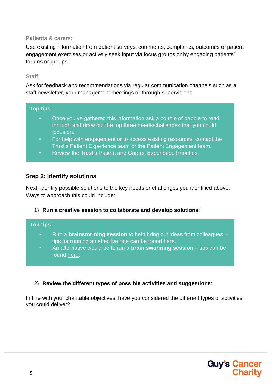#### **Patients & carers:**

Use existing information from patient surveys, comments, complaints, outcomes of patient engagement exercises or actively seek input via focus groups or by engaging patients' forums or groups.

#### **Staff:**

Ask for feedback and recommendations via regular communication channels such as a staff newsletter, your management meetings or through supervisions.

#### **Top tips:**

- Once you've gathered this information ask a couple of people to read through and draw out the top three needs/challenges that you could focus on.
- For help with engagement or to access existing resources, contact the Trust's Patient Experience team or the Patient Engagement team.
- Review the Trust's Patient and Carers' Experience Priorities.

#### **Step 2: Identify solutions**

Next, identify possible solutions to the key needs or challenges you identified above. Ways to approach this could include:

1) **Run a creative session to collaborate and develop solutions**:

#### **Top tips:**

- Run a **brainstorming session** to help bring out ideas from colleagues tips for running an effective one can be found [here.](https://blog.ted.com/how-to-run-a-brainstorm-for-introverts-and-extroverts-too/)
- An alternative would be to run a **brain swarming session** tips can be found [here.](https://hbr.org/video/3373616535001/brainswarming-because-brainstorming-doesnt-work)

#### 2) **Review the different types of possible activities and suggestions**:

In line with your charitable objectives, have you considered the different types of activities you could deliver?

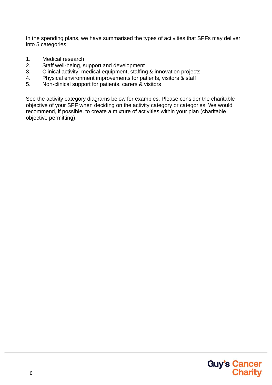In the spending plans, we have summarised the types of activities that SPFs may deliver into 5 categories:

- 1. Medical research
- 2. Staff well-being, support and development
- 3. Clinical activity: medical equipment, staffing & innovation projects
- 4. Physical environment improvements for patients, visitors & staff
- 5. Non-clinical support for patients, carers & visitors

See the activity category diagrams below for examples. Please consider the charitable objective of your SPF when deciding on the activity category or categories. We would recommend, if possible, to create a mixture of activities within your plan (charitable objective permitting).

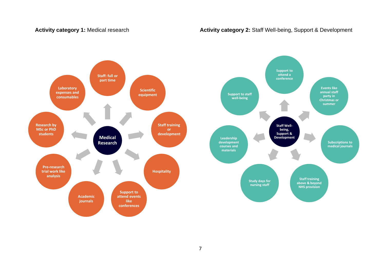#### Activity category 1: Medical research **Activity category 2:** Staff Well-being, Support & Development

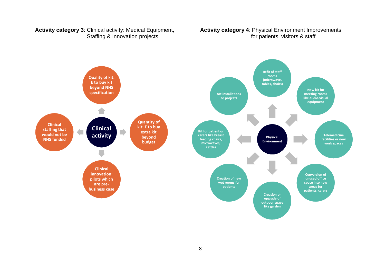#### **Activity category 3**: Clinical activity: Medical Equipment, **Activity category 4**: Physical Environment Improvements Staffing & Innovation projects for patients, visitors & staff

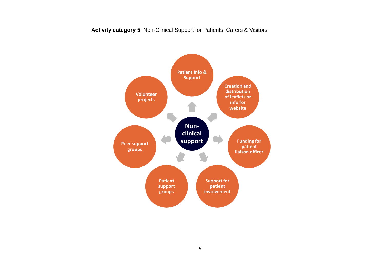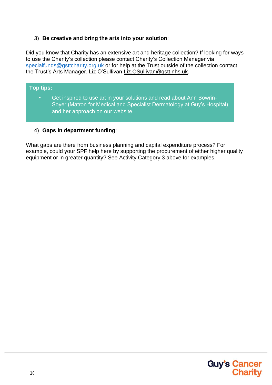#### 3) **Be creative and bring the arts into your solution**:

Did you know that Charity has an extensive art and heritage collection? If looking for ways to use the Charity's collection please contact Charity's Collection Manager via [specialfunds@gsttcharity.org.uk](mailto:specialfunds@gsttcharity.org.uk) or for help at the Trust outside of the collection contact the Trust's Arts Manager, Liz O'Sullivan [Liz.OSullivan@gstt.nhs.uk.](mailto:Liz.OSullivan@gstt.nhs.uk)

#### **Top tips:**

• Get inspired to use art in your solutions and read about Ann Bowrin-Soyer (Matron for Medical and Specialist Dermatology at Guy's Hospital) and her approach on our website.

#### 4) **Gaps in department funding**:

What gaps are there from business planning and capital expenditure process? For example, could your SPF help here by supporting the procurement of either higher quality equipment or in greater quantity? See Activity Category 3 above for examples.

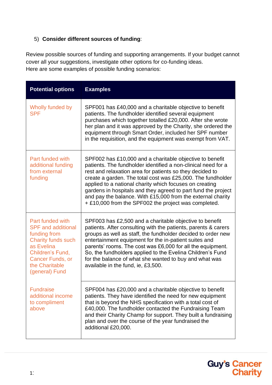#### 5) **Consider different sources of funding**:

Review possible sources of funding and supporting arrangements. If your budget cannot cover all your suggestions, investigate other options for co-funding ideas. Here are some examples of possible funding scenarios:

| <b>Potential options</b>                                                                                                                                                                    | <b>Examples</b>                                                                                                                                                                                                                                                                                                                                                                                                                                                                                         |
|---------------------------------------------------------------------------------------------------------------------------------------------------------------------------------------------|---------------------------------------------------------------------------------------------------------------------------------------------------------------------------------------------------------------------------------------------------------------------------------------------------------------------------------------------------------------------------------------------------------------------------------------------------------------------------------------------------------|
| Wholly funded by<br><b>SPF</b>                                                                                                                                                              | SPF001 has £40,000 and a charitable objective to benefit<br>patients. The fundholder identified several equipment<br>purchases which together totalled £20,000. After she wrote<br>her plan and it was approved by the Charity, she ordered the<br>equipment through Smart Order, included her SPF number<br>in the requisition, and the equipment was exempt from VAT.                                                                                                                                 |
| Part funded with<br>additional funding<br>from external<br>funding                                                                                                                          | SPF002 has £10,000 and a charitable objective to benefit<br>patients. The fundholder identified a non-clinical need for a<br>rest and relaxation area for patients so they decided to<br>create a garden. The total cost was £25,000. The fundholder<br>applied to a national charity which focuses on creating<br>gardens in hospitals and they agreed to part fund the project<br>and pay the balance. With £15,000 from the external charity<br>+ £10,000 from the SPF002 the project was completed. |
| Part funded with<br><b>SPF</b> and additional<br>funding from<br><b>Charity funds such</b><br>as Evelina<br>Children's Fund,<br><b>Cancer Funds, or</b><br>the Charitable<br>(general) Fund | SPF003 has £2,500 and a charitable objective to benefit<br>patients. After consulting with the patients, parents & carers<br>groups as well as staff, the fundholder decided to order new<br>entertainment equipment for the in-patient suites and<br>parents' rooms. The cost was £6,000 for all the equipment.<br>So, the fundholders applied to the Evelina Children's Fund<br>for the balance of what she wanted to buy and what was<br>available in the fund, ie, £3,500.                          |
| <b>Fundraise</b><br>additional income<br>to compliment<br>above                                                                                                                             | SPF004 has £20,000 and a charitable objective to benefit<br>patients. They have identified the need for new equipment<br>that is beyond the NHS specification with a total cost of<br>£40,000. The fundholder contacted the Fundraising Team<br>and their Charity Champ for support. They built a fundraising<br>plan and over the course of the year fundraised the<br>additional £20,000.                                                                                                             |

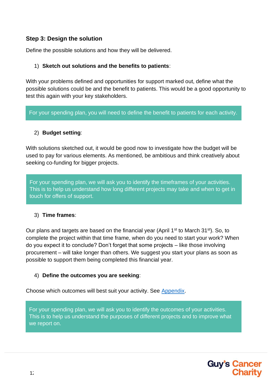#### **Step 3: Design the solution**

Define the possible solutions and how they will be delivered.

#### 1) **Sketch out solutions and the benefits to patients**:

With your problems defined and opportunities for support marked out, define what the possible solutions could be and the benefit to patients. This would be a good opportunity to test this again with your key stakeholders.

For your spending plan, you will need to define the benefit to patients for each activity.

#### 2) **Budget setting**:

With solutions sketched out, it would be good now to investigate how the budget will be used to pay for various elements. As mentioned, be ambitious and think creatively about seeking co-funding for bigger projects.

For your spending plan, we will ask you to identify the timeframes of your activities. This is to help us understand how long different projects may take and when to get in touch for offers of support.

#### 3) **Time frames**:

Our plans and targets are based on the financial year (April 1<sup>st</sup> to March 31<sup>st</sup>). So, to complete the project within that time frame, when do you need to start your work? When do you expect it to conclude? Don't forget that some projects – like those involving procurement – will take longer than others. We suggest you start your plans as soon as possible to support them being completed this financial year.

#### 4) **Define the outcomes you are seeking**:

Choose which outcomes will best suit your activity. See [Appendix.](#page-21-0)

For your spending plan, we will ask you to identify the outcomes of your activities. This is to help us understand the purposes of different projects and to improve what we report on.

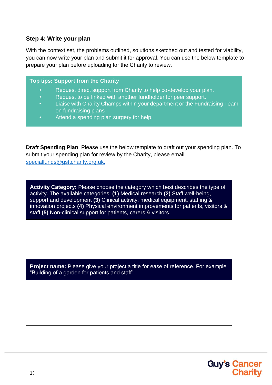#### **Step 4: Write your plan**

With the context set, the problems outlined, solutions sketched out and tested for viability, you can now write your plan and submit it for approval. You can use the below template to prepare your plan before uploading for the Charity to review.

#### **Top tips: Support from the Charity**

- Request direct support from Charity to help co-develop your plan.
- Request to be linked with another fundholder for peer support.
- Liaise with Charity Champs within your department or the Fundraising Team on fundraising plans
- Attend a spending plan surgery for help.

**Draft Spending Plan**: Please use the below template to draft out your spending plan. To submit your spending plan for review by the Charity, please email [specialfunds@gsttcharity.org.uk.](mailto:specialfunds@gsttcharity.org.uk)

**Activity Category:** Please choose the category which best describes the type of activity. The available categories: **(1)** Medical research **(2)** Staff well-being, support and development **(3)** Clinical activity: medical equipment, staffing & innovation projects **(4)** Physical environment improvements for patients, visitors & staff **(5)** Non-clinical support for patients, carers & visitors.

**Project name:** Please give your project a title for ease of reference. For example "Building of a garden for patients and staff"

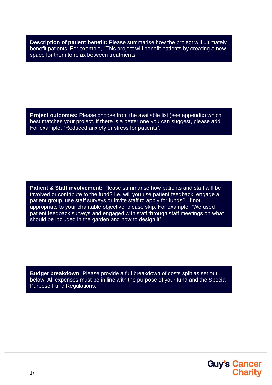**Description of patient benefit:** Please summarise how the project will ultimately benefit patients. For example, "This project will benefit patients by creating a new space for them to relax between treatments"

**Project outcomes:** Please choose from the available list (see appendix) which best matches your project. If there is a better one you can suggest, please add. For example, "Reduced anxiety or stress for patients".

**Patient & Staff involvement:** Please summarise how patients and staff will be involved or contribute to the fund? I.e. will you use patient feedback, engage a patient group, use staff surveys or invite staff to apply for funds? If not appropriate to your charitable objective, please skip. For example, "We used patient feedback surveys and engaged with staff through staff meetings on what should be included in the garden and how to design it".

<span id="page-13-0"></span>**Budget breakdown:** Please provide a full breakdown of costs split as set out below. All expenses must be in line with the purpose of your fund and the Special Purpose Fund Regulations.

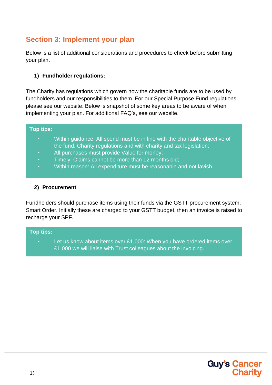### **Section 3: Implement your plan**

Below is a list of additional considerations and procedures to check before submitting your plan.

#### **1) Fundholder regulations:**

The Charity has regulations which govern how the charitable funds are to be used by fundholders and our responsibilities to them. For our Special Purpose Fund regulations please see our website. Below is snapshot of some key areas to be aware of when implementing your plan. For additional FAQ's, see our website.

#### **Top tips:**

- Within guidance: All spend must be in line with the charitable objective of the fund, Charity regulations and with charity and tax legislation;
- All purchases must provide Value for money;
- Timely: Claims cannot be more than 12 months old;
- Within reason: All expenditure must be reasonable and not lavish.

#### **2) Procurement**

Fundholders should purchase items using their funds via the GSTT procurement system, Smart Order. Initially these are charged to your GSTT budget, then an invoice is raised to recharge your SPF.

#### **Top tips:**

Let us know about items over £1,000: When you have ordered items over £1,000 we will liaise with Trust colleagues about the invoicing.

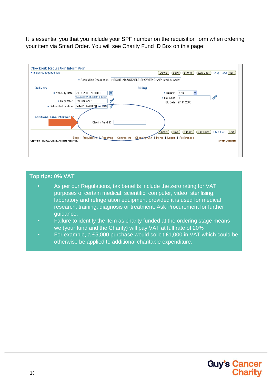It is essential you that you include your SPF number on the requisition form when ordering your item via Smart Order. You will see Charity Fund ID Box on this page:



#### **Top tips: 0% VAT**

- As per our Regulations, tax benefits include the zero rating for VAT purposes of certain medical, scientific, computer, video, sterilising, laboratory and refrigeration equipment provided it is used for medical research, training, diagnosis or treatment. Ask Procurement for further guidance.
- Failure to identify the item as charity funded at the ordering stage means we (your fund and the Charity) will pay VAT at full rate of 20%
- For example, a £5,000 purchase would solicit £1,000 in VAT which could be otherwise be applied to additional charitable expenditure.

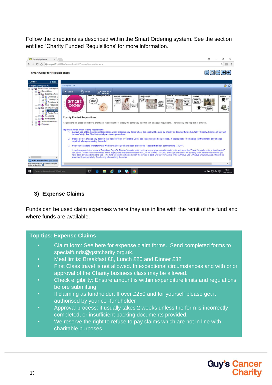Follow the directions as described within the Smart Ordering system. See the section entitled 'Charity Funded Requisitions' for more information.



#### **3) Expense Claims**

Funds can be used claim expenses where they are in line with the remit of the fund and where funds are available.

#### **Top tips: Expense Claims**

- Claim form: See here for expense claim forms. Send completed forms to specialfunds@gsttcharity.org.uk.
- Meal limits: Breakfast £8, Lunch £20 and Dinner £32
- First Class travel is not allowed. In exceptional circumstances and with prior approval of the Charity business class may be allowed.
- Check eligibility: Ensure amount is within expenditure limits and regulations before submitting
- If claiming as fundholder: If over £250 and for yourself please get it authorised by your co -fundholder
- Approval process: it usually takes 2 weeks unless the form is incorrectly completed, or insufficient backing documents provided.
- We reserve the right to refuse to pay claims which are not in line with charitable purposes.

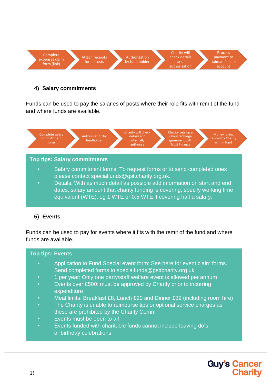

#### **4) Salary commitments**

Funds can be used to pay the salaries of posts where their role fits with remit of the fund and where funds are available.



#### **5) Events**

Funds can be used to pay for events where it fits with the remit of the fund and where funds are available.

#### **Top tips: Events**

- Application to Fund Special event form: See here for event claim forms. Send completed forms to specialfunds@gsttcharity.org.uk
- 1 per year: Only one party/staff welfare event is allowed per annum
- Events over £500: must be approved by Charity prior to incurring **expenditure**
- Meal limits: Breakfast £8, Lunch £20 and Dinner £32 (including room hire)
- The Charity is unable to reimburse tips or optional service charges as these are prohibited by the Charity Comm
- Events must be open to all
- Events funded with charitable funds cannot include leaving do's or birthday celebrations.

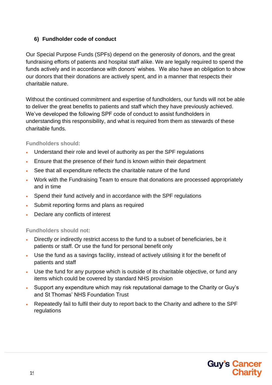#### **6) Fundholder code of conduct**

Our Special Purpose Funds (SPFs) depend on the generosity of donors, and the great fundraising efforts of patients and hospital staff alike. We are legally required to spend the funds actively and in accordance with donors' wishes. We also have an obligation to show our donors that their donations are actively spent, and in a manner that respects their charitable nature.

Without the continued commitment and expertise of fundholders, our funds will not be able to deliver the great benefits to patients and staff which they have previously achieved. We've developed the following SPF code of conduct to assist fundholders in understanding this responsibility, and what is required from them as stewards of these charitable funds.

#### **Fundholders should:**

- Understand their role and level of authority as per the SPF regulations
- Ensure that the presence of their fund is known within their department
- See that all expenditure reflects the charitable nature of the fund
- Work with the Fundraising Team to ensure that donations are processed appropriately and in time
- Spend their fund actively and in accordance with the SPF regulations
- Submit reporting forms and plans as required
- Declare any conflicts of interest

**Fundholders should not:**

- Directly or indirectly restrict access to the fund to a subset of beneficiaries, be it patients or staff. Or use the fund for personal benefit only
- Use the fund as a savings facility, instead of actively utilising it for the benefit of patients and staff
- Use the fund for any purpose which is outside of its charitable objective, or fund any items which could be covered by standard NHS provision
- Support any expenditure which may risk reputational damage to the Charity or Guy's and St Thomas' NHS Foundation Trust
- Repeatedly fail to fulfil their duty to report back to the Charity and adhere to the SPF regulations

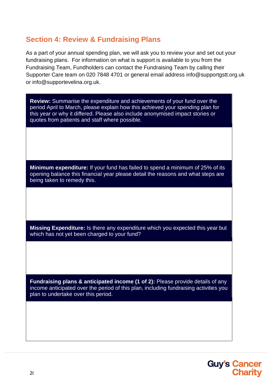#### **Section 4: Review & Fundraising Plans**

As a part of your annual spending plan, we will ask you to review your and set out your fundraising plans. For information on what is support is available to you from the Fundraising Team, Fundholders can contact the Fundraising Team by calling their Supporter Care team on 020 7848 4701 or general email address [info@supportgstt.org.uk](mailto:info@supportgstt.org.uk) or [info@supportevelina.org.uk.](mailto:info@supportevelina.org.uk)

**Review:** Summarise the expenditure and achievements of your fund over the period April to March, please explain how this achieved your spending plan for this year or why it differed. Please also include anonymised impact stories or quotes from patients and staff where possible.

**Minimum expenditure:** If your fund has failed to spend a minimum of 25% of its opening balance this financial year please detail the reasons and what steps are being taken to remedy this.

**Missing Expenditure:** Is there any expenditure which you expected this year but which has not yet been charged to your fund?

**Fundraising plans & anticipated income (1 of 2):** Please provide details of any income anticipated over the period of this plan, including fundraising activities you plan to undertake over this period.

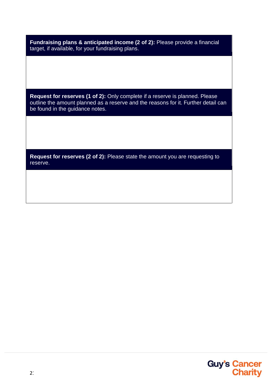**Fundraising plans & anticipated income (2 of 2):** Please provide a financial target, if available, for your fundraising plans.

**Request for reserves (1 of 2):** Only complete if a reserve is planned. Please outline the amount planned as a reserve and the reasons for it. Further detail can be found in the guidance notes.

**Request for reserves (2 of 2):** Please state the amount you are requesting to reserve.

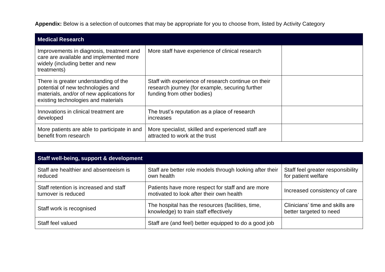**Appendix:** Below is a selection of outcomes that may be appropriate for you to choose from, listed by Activity Category

| <b>Medical Research</b>                                                                                                                                        |                                                                                                                                      |  |  |  |
|----------------------------------------------------------------------------------------------------------------------------------------------------------------|--------------------------------------------------------------------------------------------------------------------------------------|--|--|--|
| Improvements in diagnosis, treatment and<br>care are available and implemented more<br>widely (including better and new<br>treatments)                         | More staff have experience of clinical research                                                                                      |  |  |  |
| There is greater understanding of the<br>potential of new technologies and<br>materials, and/or of new applications for<br>existing technologies and materials | Staff with experience of research continue on their<br>research journey (for example, securing further<br>funding from other bodies) |  |  |  |
| Innovations in clinical treatment are<br>developed                                                                                                             | The trust's reputation as a place of research<br>increases                                                                           |  |  |  |
| More patients are able to participate in and<br>benefit from research                                                                                          | More specialist, skilled and experienced staff are<br>attracted to work at the trust                                                 |  |  |  |

<span id="page-21-0"></span>

| Staff well-being, support & development                       |                                                                                               |                                                            |  |  |
|---------------------------------------------------------------|-----------------------------------------------------------------------------------------------|------------------------------------------------------------|--|--|
| Staff are healthier and absenteeism is<br>reduced             | Staff are better role models through looking after their<br>own health                        | Staff feel greater responsibility<br>for patient welfare   |  |  |
| Staff retention is increased and staff<br>turnover is reduced | Patients have more respect for staff and are more<br>motivated to look after their own health | Increased consistency of care                              |  |  |
| Staff work is recognised                                      | The hospital has the resources (facilities, time,<br>knowledge) to train staff effectively    | Clinicians' time and skills are<br>better targeted to need |  |  |
| Staff feel valued                                             | Staff are (and feel) better equipped to do a good job                                         |                                                            |  |  |